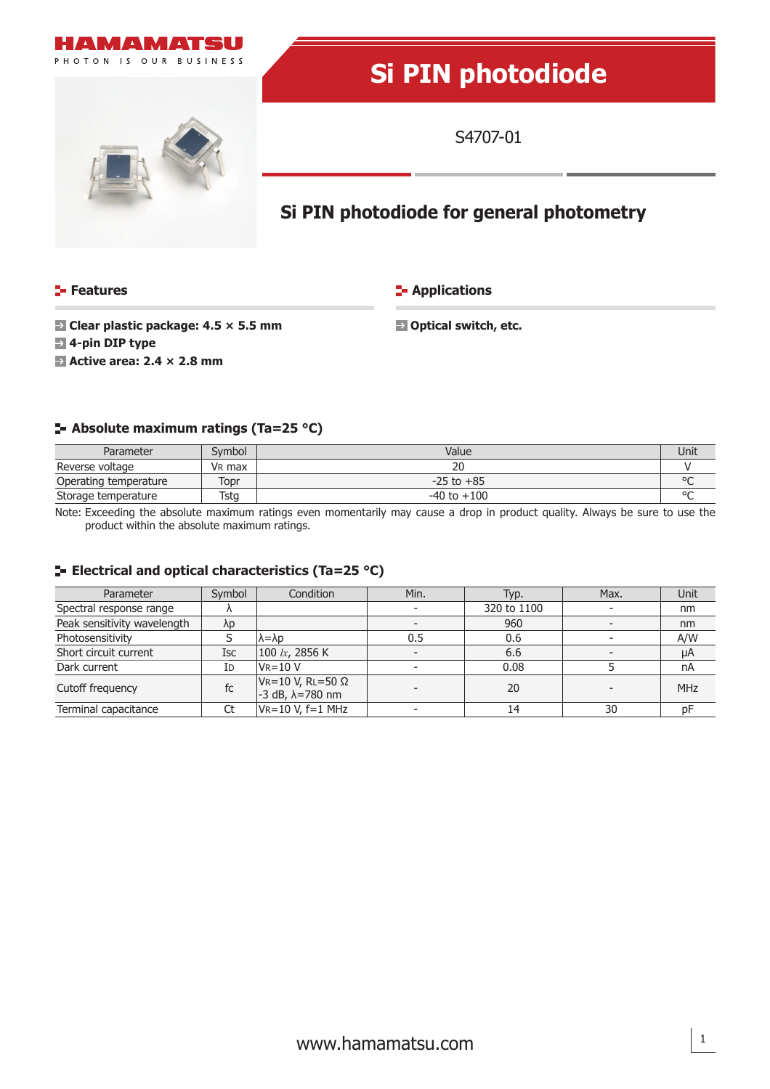

# **Si PIN photodiode**

S4707-01

## **Si PIN photodiode for general photometry**

#### **Features**

**E-** Applications

 **Clear plastic package: 4.5 × 5.5 mm**

 **Optical switch, etc.**

- **4-pin DIP type**
- **Active area: 2.4 × 2.8 mm**

#### **Absolute maximum ratings (Ta=25 °C)**

| Parameter             | Svmbol             | Value           |         |
|-----------------------|--------------------|-----------------|---------|
| Reverse voltage       | V <sub>R</sub> max | zu              |         |
| Operating temperature | Topr               | $-25$ to $+85$  | $\circ$ |
| Storage temperature   | Tstg               | $-40$ to $+100$ | $\circ$ |

Note: Exceeding the absolute maximum ratings even momentarily may cause a drop in product quality. Always be sure to use the product within the absolute maximum ratings.

#### **E** Electrical and optical characteristics (Ta=25 °C)

| Parameter                   | Symbol     | Condition                                                    | Min. | Typ.        | Max. | Unit       |
|-----------------------------|------------|--------------------------------------------------------------|------|-------------|------|------------|
| Spectral response range     |            |                                                              |      | 320 to 1100 |      | nm         |
| Peak sensitivity wavelength | λp         |                                                              |      | 960         |      | nm         |
| Photosensitivity            |            | $\lambda = \lambda p$                                        | 0.5  | 0.6         |      | A/W        |
| Short circuit current       | <b>Isc</b> | 100 $lx$ , 2856 K                                            |      | 6.6         |      | μA         |
| Dark current                | Id         | $V_R = 10 V$                                                 |      | 0.08        |      | nA         |
| Cutoff frequency            | fc         | $V_R = 10 V$ , RL=50 $\Omega$<br>$-3$ dB, $\lambda = 780$ nm |      | 20          |      | <b>MHz</b> |
| Terminal capacitance        |            | $V_R = 10 V, f = 1 MHz$                                      |      | 14          | 30   | DF         |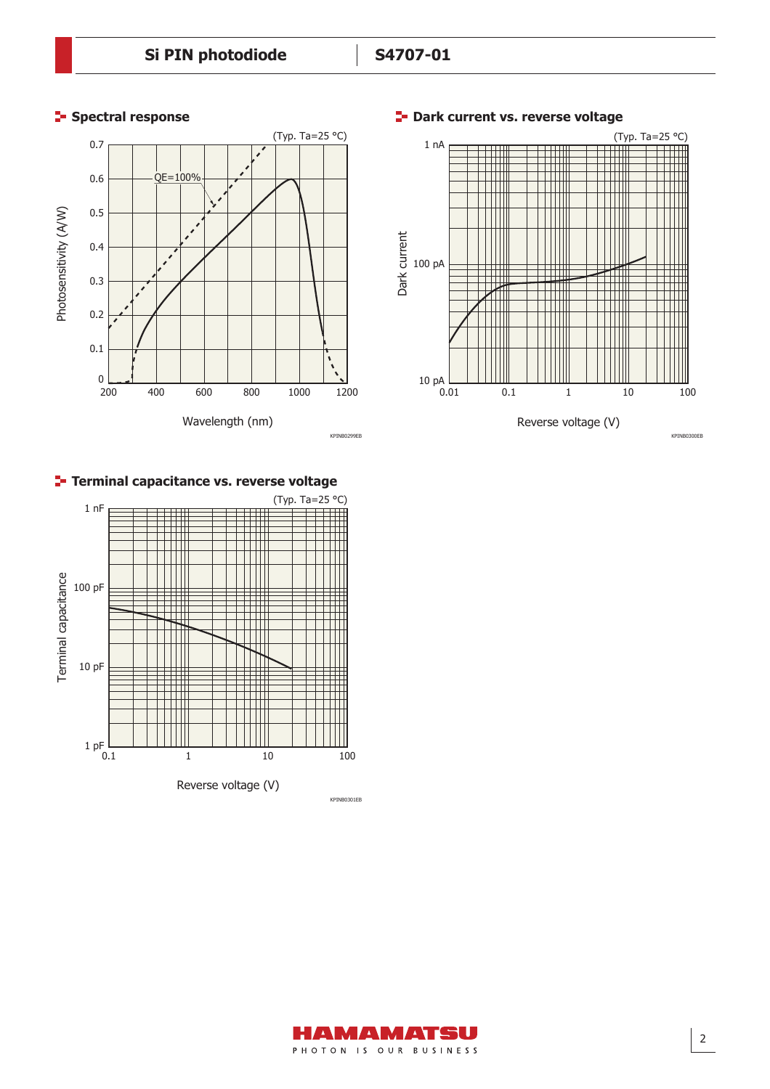### **Spectral response**



**E-** Dark current vs. reverse voltage



#### **Terminal capacitance vs. reverse voltage**



KPINB0300EB